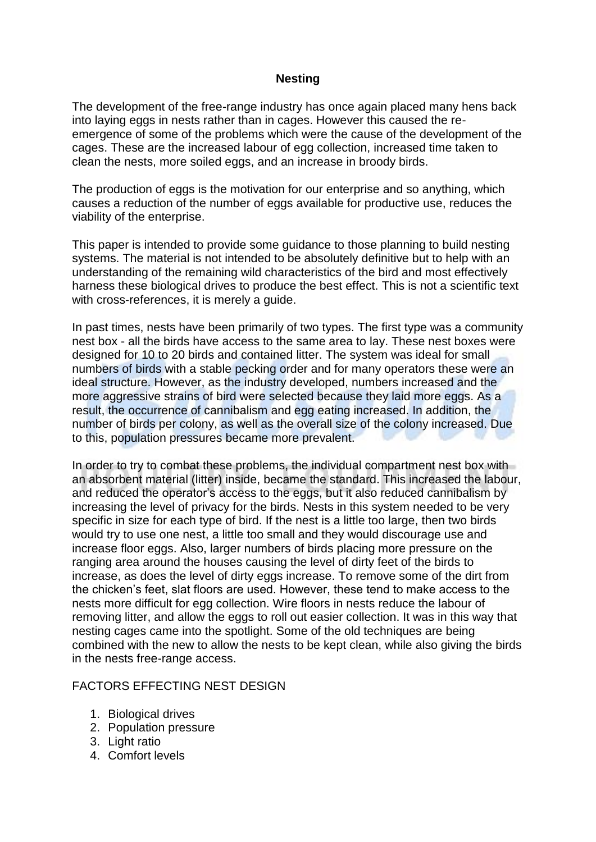### **Nesting**

The development of the free-range industry has once again placed many hens back into laying eggs in nests rather than in cages. However this caused the reemergence of some of the problems which were the cause of the development of the cages. These are the increased labour of egg collection, increased time taken to clean the nests, more soiled eggs, and an increase in broody birds.

The production of eggs is the motivation for our enterprise and so anything, which causes a reduction of the number of eggs available for productive use, reduces the viability of the enterprise.

This paper is intended to provide some guidance to those planning to build nesting systems. The material is not intended to be absolutely definitive but to help with an understanding of the remaining wild characteristics of the bird and most effectively harness these biological drives to produce the best effect. This is not a scientific text with cross-references, it is merely a guide.

In past times, nests have been primarily of two types. The first type was a community nest box - all the birds have access to the same area to lay. These nest boxes were designed for 10 to 20 birds and contained litter. The system was ideal for small numbers of birds with a stable pecking order and for many operators these were an ideal structure. However, as the industry developed, numbers increased and the more aggressive strains of bird were selected because they laid more eggs. As a result, the occurrence of cannibalism and egg eating increased. In addition, the number of birds per colony, as well as the overall size of the colony increased. Due to this, population pressures became more prevalent.

In order to try to combat these problems, the individual compartment nest box with an absorbent material (litter) inside, became the standard. This increased the labour, and reduced the operator's access to the eggs, but it also reduced cannibalism by increasing the level of privacy for the birds. Nests in this system needed to be very specific in size for each type of bird. If the nest is a little too large, then two birds would try to use one nest, a little too small and they would discourage use and increase floor eggs. Also, larger numbers of birds placing more pressure on the ranging area around the houses causing the level of dirty feet of the birds to increase, as does the level of dirty eggs increase. To remove some of the dirt from the chicken's feet, slat floors are used. However, these tend to make access to the nests more difficult for egg collection. Wire floors in nests reduce the labour of removing litter, and allow the eggs to roll out easier collection. It was in this way that nesting cages came into the spotlight. Some of the old techniques are being combined with the new to allow the nests to be kept clean, while also giving the birds in the nests free-range access.

# FACTORS EFFECTING NEST DESIGN

- 1. Biological drives
- 2. Population pressure
- 3. Light ratio
- 4. Comfort levels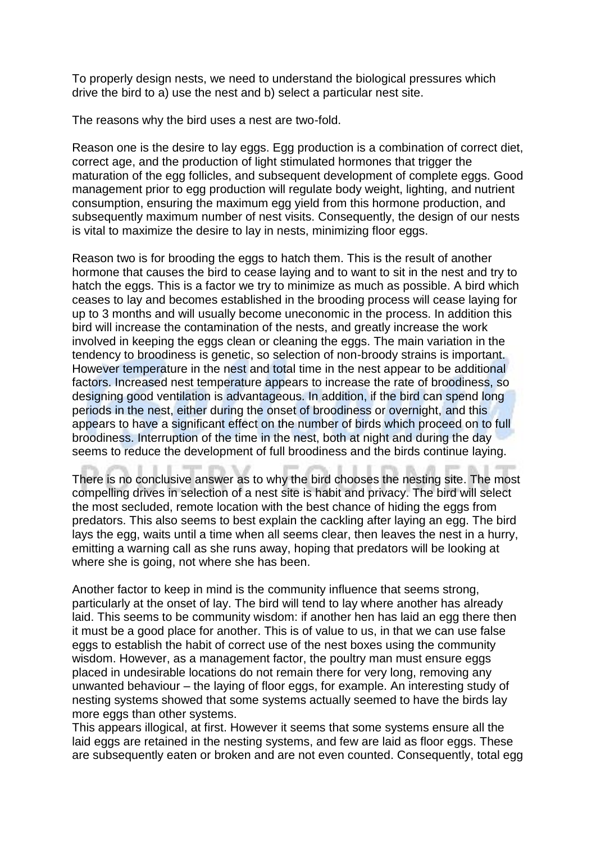To properly design nests, we need to understand the biological pressures which drive the bird to a) use the nest and b) select a particular nest site.

The reasons why the bird uses a nest are two-fold.

Reason one is the desire to lay eggs. Egg production is a combination of correct diet, correct age, and the production of light stimulated hormones that trigger the maturation of the egg follicles, and subsequent development of complete eggs. Good management prior to egg production will regulate body weight, lighting, and nutrient consumption, ensuring the maximum egg yield from this hormone production, and subsequently maximum number of nest visits. Consequently, the design of our nests is vital to maximize the desire to lay in nests, minimizing floor eggs.

Reason two is for brooding the eggs to hatch them. This is the result of another hormone that causes the bird to cease laying and to want to sit in the nest and try to hatch the eggs. This is a factor we try to minimize as much as possible. A bird which ceases to lay and becomes established in the brooding process will cease laying for up to 3 months and will usually become uneconomic in the process. In addition this bird will increase the contamination of the nests, and greatly increase the work involved in keeping the eggs clean or cleaning the eggs. The main variation in the tendency to broodiness is genetic, so selection of non-broody strains is important. However temperature in the nest and total time in the nest appear to be additional factors. Increased nest temperature appears to increase the rate of broodiness, so designing good ventilation is advantageous. In addition, if the bird can spend long periods in the nest, either during the onset of broodiness or overnight, and this appears to have a significant effect on the number of birds which proceed on to full broodiness. Interruption of the time in the nest, both at night and during the day seems to reduce the development of full broodiness and the birds continue laying.

There is no conclusive answer as to why the bird chooses the nesting site. The most compelling drives in selection of a nest site is habit and privacy. The bird will select the most secluded, remote location with the best chance of hiding the eggs from predators. This also seems to best explain the cackling after laying an egg. The bird lays the egg, waits until a time when all seems clear, then leaves the nest in a hurry, emitting a warning call as she runs away, hoping that predators will be looking at where she is going, not where she has been.

Another factor to keep in mind is the community influence that seems strong, particularly at the onset of lay. The bird will tend to lay where another has already laid. This seems to be community wisdom: if another hen has laid an egg there then it must be a good place for another. This is of value to us, in that we can use false eggs to establish the habit of correct use of the nest boxes using the community wisdom. However, as a management factor, the poultry man must ensure eggs placed in undesirable locations do not remain there for very long, removing any unwanted behaviour – the laying of floor eggs, for example. An interesting study of nesting systems showed that some systems actually seemed to have the birds lay more eggs than other systems.

This appears illogical, at first. However it seems that some systems ensure all the laid eggs are retained in the nesting systems, and few are laid as floor eggs. These are subsequently eaten or broken and are not even counted. Consequently, total egg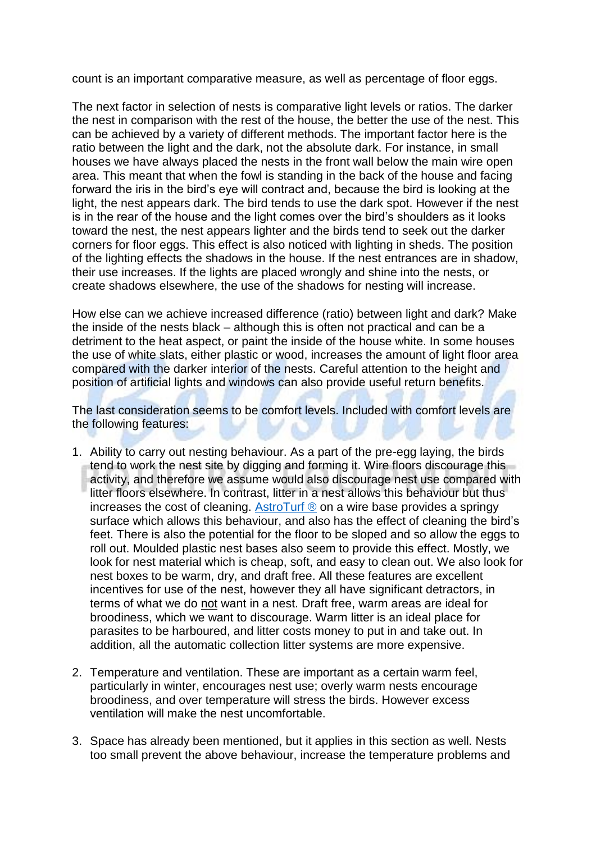count is an important comparative measure, as well as percentage of floor eggs.

The next factor in selection of nests is comparative light levels or ratios. The darker the nest in comparison with the rest of the house, the better the use of the nest. This can be achieved by a variety of different methods. The important factor here is the ratio between the light and the dark, not the absolute dark. For instance, in small houses we have always placed the nests in the front wall below the main wire open area. This meant that when the fowl is standing in the back of the house and facing forward the iris in the bird's eye will contract and, because the bird is looking at the light, the nest appears dark. The bird tends to use the dark spot. However if the nest is in the rear of the house and the light comes over the bird's shoulders as it looks toward the nest, the nest appears lighter and the birds tend to seek out the darker corners for floor eggs. This effect is also noticed with lighting in sheds. The position of the lighting effects the shadows in the house. If the nest entrances are in shadow, their use increases. If the lights are placed wrongly and shine into the nests, or create shadows elsewhere, the use of the shadows for nesting will increase.

How else can we achieve increased difference (ratio) between light and dark? Make the inside of the nests black – although this is often not practical and can be a detriment to the heat aspect, or paint the inside of the house white. In some houses the use of white slats, either plastic or wood, increases the amount of light floor area compared with the darker interior of the nests. Careful attention to the height and position of artificial lights and windows can also provide useful return benefits.

The last consideration seems to be comfort levels. Included with comfort levels are the following features:

- 1. Ability to carry out nesting behaviour. As a part of the pre-egg laying, the birds tend to work the nest site by digging and forming it. Wire floors discourage this activity, and therefore we assume would also discourage nest use compared with litter floors elsewhere. In contrast, litter in a nest allows this behaviour but thus increases the cost of cleaning. [AstroTurf ®](http://eshop.bellsouth.com.au/epages/bellsouth.sf/en_AU/?ObjectPath=/Shops/bellsouth/Categories/Equipment/Nest_Boxes/AVIO) on a wire base provides a springy surface which allows this behaviour, and also has the effect of cleaning the bird's feet. There is also the potential for the floor to be sloped and so allow the eggs to roll out. Moulded plastic nest bases also seem to provide this effect. Mostly, we look for nest material which is cheap, soft, and easy to clean out. We also look for nest boxes to be warm, dry, and draft free. All these features are excellent incentives for use of the nest, however they all have significant detractors, in terms of what we do not want in a nest. Draft free, warm areas are ideal for broodiness, which we want to discourage. Warm litter is an ideal place for parasites to be harboured, and litter costs money to put in and take out. In addition, all the automatic collection litter systems are more expensive.
- 2. Temperature and ventilation. These are important as a certain warm feel, particularly in winter, encourages nest use; overly warm nests encourage broodiness, and over temperature will stress the birds. However excess ventilation will make the nest uncomfortable.
- 3. Space has already been mentioned, but it applies in this section as well. Nests too small prevent the above behaviour, increase the temperature problems and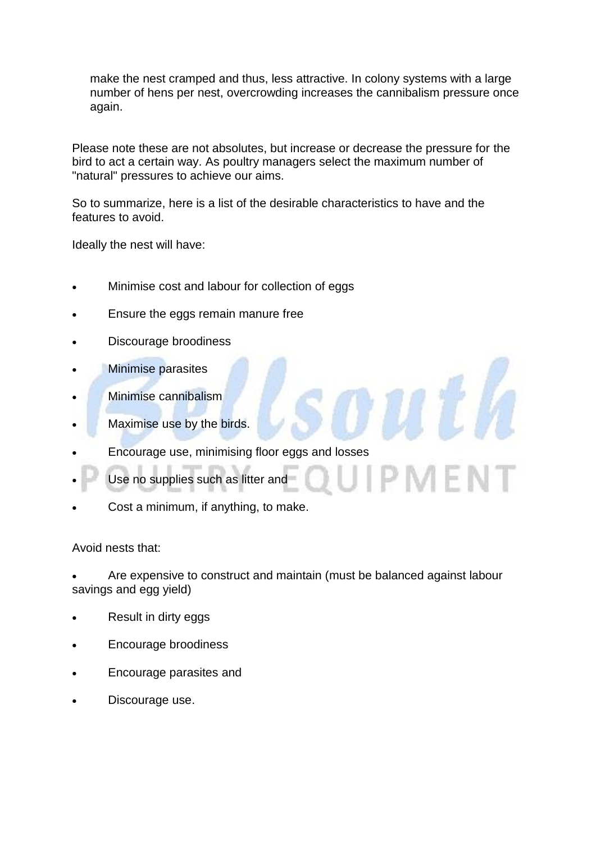make the nest cramped and thus, less attractive. In colony systems with a large number of hens per nest, overcrowding increases the cannibalism pressure once again.

Please note these are not absolutes, but increase or decrease the pressure for the bird to act a certain way. As poultry managers select the maximum number of "natural" pressures to achieve our aims.

So to summarize, here is a list of the desirable characteristics to have and the features to avoid.

Ideally the nest will have:

- Minimise cost and labour for collection of eggs
- Ensure the eggs remain manure free
- Discourage broodiness
- Minimise parasites
- Minimise cannibalism
- Maximise use by the birds.
- Encourage use, minimising floor eggs and losses
- Use no supplies such as litter and
- Cost a minimum, if anything, to make.

#### Avoid nests that:

 Are expensive to construct and maintain (must be balanced against labour savings and egg yield)

- Result in dirty eggs
- Encourage broodiness
- Encourage parasites and
- Discourage use.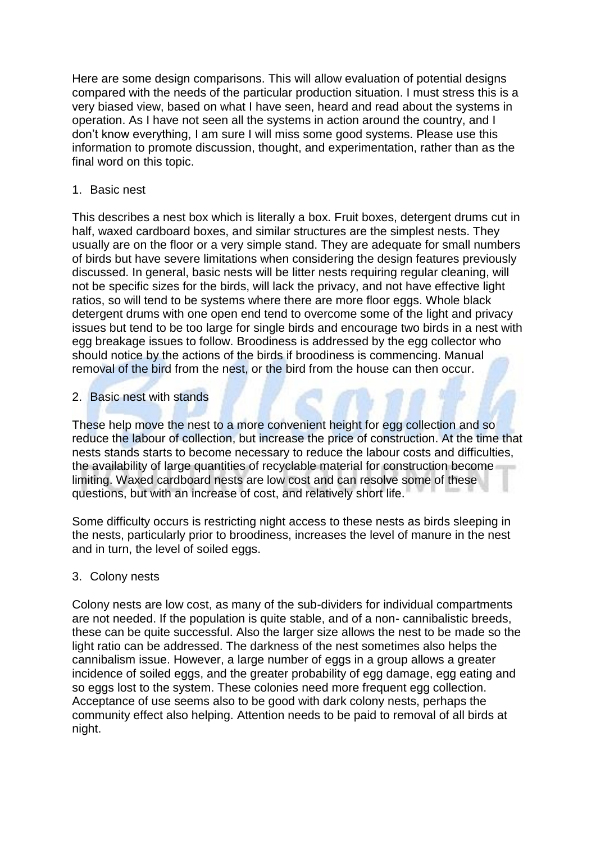Here are some design comparisons. This will allow evaluation of potential designs compared with the needs of the particular production situation. I must stress this is a very biased view, based on what I have seen, heard and read about the systems in operation. As I have not seen all the systems in action around the country, and I don't know everything, I am sure I will miss some good systems. Please use this information to promote discussion, thought, and experimentation, rather than as the final word on this topic.

### 1. Basic nest

This describes a nest box which is literally a box. Fruit boxes, detergent drums cut in half, waxed cardboard boxes, and similar structures are the simplest nests. They usually are on the floor or a very simple stand. They are adequate for small numbers of birds but have severe limitations when considering the design features previously discussed. In general, basic nests will be litter nests requiring regular cleaning, will not be specific sizes for the birds, will lack the privacy, and not have effective light ratios, so will tend to be systems where there are more floor eggs. Whole black detergent drums with one open end tend to overcome some of the light and privacy issues but tend to be too large for single birds and encourage two birds in a nest with egg breakage issues to follow. Broodiness is addressed by the egg collector who should notice by the actions of the birds if broodiness is commencing. Manual removal of the bird from the nest, or the bird from the house can then occur.

# 2. Basic nest with stands

These help move the nest to a more convenient height for egg collection and so reduce the labour of collection, but increase the price of construction. At the time that nests stands starts to become necessary to reduce the labour costs and difficulties, the availability of large quantities of recyclable material for construction become limiting. Waxed cardboard nests are low cost and can resolve some of these questions, but with an increase of cost, and relatively short life.

Some difficulty occurs is restricting night access to these nests as birds sleeping in the nests, particularly prior to broodiness, increases the level of manure in the nest and in turn, the level of soiled eggs.

# 3. Colony nests

Colony nests are low cost, as many of the sub-dividers for individual compartments are not needed. If the population is quite stable, and of a non- cannibalistic breeds, these can be quite successful. Also the larger size allows the nest to be made so the light ratio can be addressed. The darkness of the nest sometimes also helps the cannibalism issue. However, a large number of eggs in a group allows a greater incidence of soiled eggs, and the greater probability of egg damage, egg eating and so eggs lost to the system. These colonies need more frequent egg collection. Acceptance of use seems also to be good with dark colony nests, perhaps the community effect also helping. Attention needs to be paid to removal of all birds at night.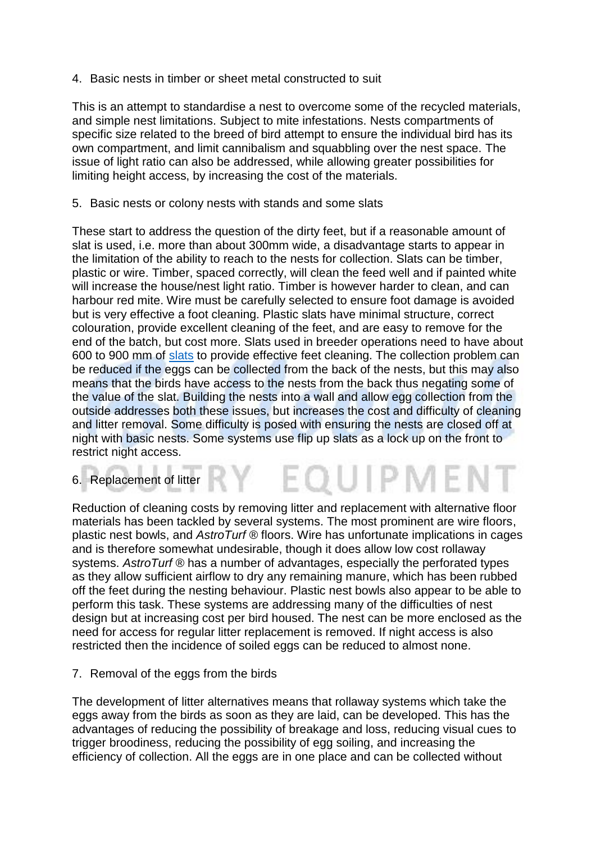4. Basic nests in timber or sheet metal constructed to suit

This is an attempt to standardise a nest to overcome some of the recycled materials, and simple nest limitations. Subject to mite infestations. Nests compartments of specific size related to the breed of bird attempt to ensure the individual bird has its own compartment, and limit cannibalism and squabbling over the nest space. The issue of light ratio can also be addressed, while allowing greater possibilities for limiting height access, by increasing the cost of the materials.

5. Basic nests or colony nests with stands and some slats

These start to address the question of the dirty feet, but if a reasonable amount of slat is used, i.e. more than about 300mm wide, a disadvantage starts to appear in the limitation of the ability to reach to the nests for collection. Slats can be timber, plastic or wire. Timber, spaced correctly, will clean the feed well and if painted white will increase the house/nest light ratio. Timber is however harder to clean, and can harbour red mite. Wire must be carefully selected to ensure foot damage is avoided but is very effective a foot cleaning. Plastic slats have minimal structure, correct colouration, provide excellent cleaning of the feet, and are easy to remove for the end of the batch, but cost more. Slats used in breeder operations need to have about 600 to 900 mm of [slats](http://eshop.bellsouth.com.au/epages/bellsouth.sf/en_AU/?ObjectPath=/Shops/bellsouth/Products/Orion) to provide effective feet cleaning. The collection problem can be reduced if the eggs can be collected from the back of the nests, but this may also means that the birds have access to the nests from the back thus negating some of the value of the slat. Building the nests into a wall and allow egg collection from the outside addresses both these issues, but increases the cost and difficulty of cleaning and litter removal. Some difficulty is posed with ensuring the nests are closed off at night with basic nests. Some systems use flip up slats as a lock up on the front to restrict night access.

6. Replacement of litter **1999 11:20 12:30 12:30 12:30 12:30 12:30 12:30 12:30 12:30 12:30 12:30 12:30 12:30 12:30** 

Reduction of cleaning costs by removing litter and replacement with alternative floor materials has been tackled by several systems. The most prominent are wire floors, plastic nest bowls, and *AstroTurf ®* floors. Wire has unfortunate implications in cages and is therefore somewhat undesirable, though it does allow low cost rollaway systems. *AstroTurf ®* has a number of advantages, especially the perforated types as they allow sufficient airflow to dry any remaining manure, which has been rubbed off the feet during the nesting behaviour. Plastic nest bowls also appear to be able to perform this task. These systems are addressing many of the difficulties of nest design but at increasing cost per bird housed. The nest can be more enclosed as the need for access for regular litter replacement is removed. If night access is also restricted then the incidence of soiled eggs can be reduced to almost none.

#### 7. Removal of the eggs from the birds

The development of litter alternatives means that rollaway systems which take the eggs away from the birds as soon as they are laid, can be developed. This has the advantages of reducing the possibility of breakage and loss, reducing visual cues to trigger broodiness, reducing the possibility of egg soiling, and increasing the efficiency of collection. All the eggs are in one place and can be collected without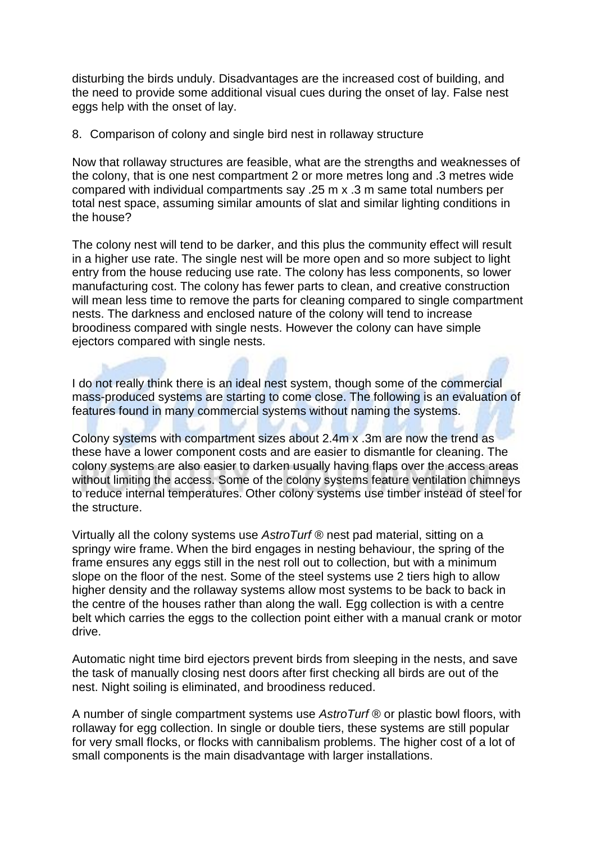disturbing the birds unduly. Disadvantages are the increased cost of building, and the need to provide some additional visual cues during the onset of lay. False nest eggs help with the onset of lay.

#### 8. Comparison of colony and single bird nest in rollaway structure

Now that rollaway structures are feasible, what are the strengths and weaknesses of the colony, that is one nest compartment 2 or more metres long and .3 metres wide compared with individual compartments say .25 m x .3 m same total numbers per total nest space, assuming similar amounts of slat and similar lighting conditions in the house?

The colony nest will tend to be darker, and this plus the community effect will result in a higher use rate. The single nest will be more open and so more subject to light entry from the house reducing use rate. The colony has less components, so lower manufacturing cost. The colony has fewer parts to clean, and creative construction will mean less time to remove the parts for cleaning compared to single compartment nests. The darkness and enclosed nature of the colony will tend to increase broodiness compared with single nests. However the colony can have simple ejectors compared with single nests.

I do not really think there is an ideal nest system, though some of the commercial mass-produced systems are starting to come close. The following is an evaluation of features found in many commercial systems without naming the systems.

Colony systems with compartment sizes about 2.4m x .3m are now the trend as these have a lower component costs and are easier to dismantle for cleaning. The colony systems are also easier to darken usually having flaps over the access areas without limiting the access. Some of the colony systems feature ventilation chimneys to reduce internal temperatures. Other colony systems use timber instead of steel for the structure.

Virtually all the colony systems use *AstroTurf ®* nest pad material, sitting on a springy wire frame. When the bird engages in nesting behaviour, the spring of the frame ensures any eggs still in the nest roll out to collection, but with a minimum slope on the floor of the nest. Some of the steel systems use 2 tiers high to allow higher density and the rollaway systems allow most systems to be back to back in the centre of the houses rather than along the wall. Egg collection is with a centre belt which carries the eggs to the collection point either with a manual crank or motor drive.

Automatic night time bird ejectors prevent birds from sleeping in the nests, and save the task of manually closing nest doors after first checking all birds are out of the nest. Night soiling is eliminated, and broodiness reduced.

A number of single compartment systems use *AstroTurf ®* or plastic bowl floors, with rollaway for egg collection. In single or double tiers, these systems are still popular for very small flocks, or flocks with cannibalism problems. The higher cost of a lot of small components is the main disadvantage with larger installations.